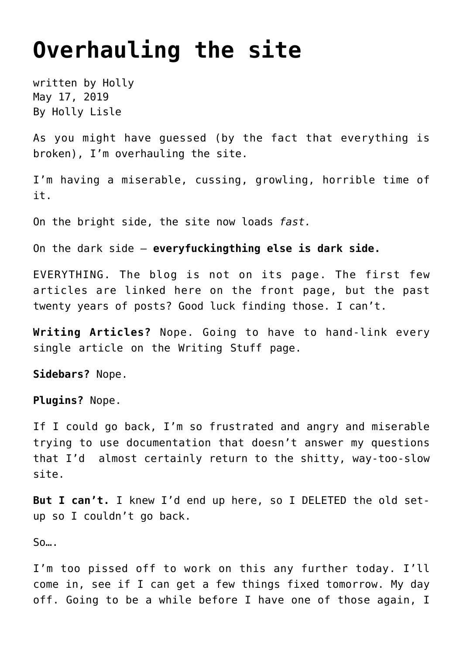## **[Overhauling the site](https://hollylisle.com/overhauling-the-site/)**

written by Holly May 17, 2019 [By Holly Lisle](https://hollylisle.com)

As you might have guessed (by the fact that everything is broken), I'm overhauling the site.

I'm having a miserable, cussing, growling, horrible time of it.

On the bright side, the site now loads *fast.*

On the dark side — **everyfuckingthing else is dark side.**

EVERYTHING. The blog is not on its page. The first few articles are linked here on the front page, but the past twenty years of posts? Good luck finding those. I can't.

**Writing Articles?** Nope. Going to have to hand-link every single article on the Writing Stuff page.

**Sidebars?** Nope.

**Plugins?** Nope.

If I could go back, I'm so frustrated and angry and miserable trying to use documentation that doesn't answer my questions that I'd almost certainly return to the shitty, way-too-slow site.

**But I can't.** I knew I'd end up here, so I DELETED the old setup so I couldn't go back.

 $S<sub>0...</sub>$ .

I'm too pissed off to work on this any further today. I'll come in, see if I can get a few things fixed tomorrow. My day off. Going to be a while before I have one of those again, I